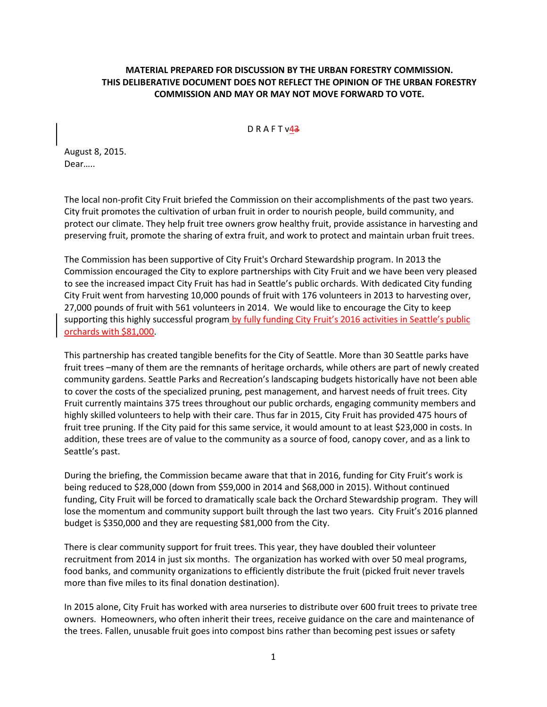## **MATERIAL PREPARED FOR DISCUSSION BY THE URBAN FORESTRY COMMISSION. THIS DELIBERATIVE DOCUMENT DOES NOT REFLECT THE OPINION OF THE URBAN FORESTRY COMMISSION AND MAY OR MAY NOT MOVE FORWARD TO VOTE.**

 $D$  R A F T  $v43$ 

August 8, 2015. Dear…..

The local non-profit City Fruit briefed the Commission on their accomplishments of the past two years. City fruit promotes the cultivation of urban fruit in order to nourish people, build community, and protect our climate. They help fruit tree owners grow healthy fruit, provide assistance in harvesting and preserving fruit, promote the sharing of extra fruit, and work to protect and maintain urban fruit trees.

The Commission has been supportive of City Fruit's Orchard Stewardship program. In 2013 the Commission encouraged the City to explore partnerships with City Fruit and we have been very pleased to see the increased impact City Fruit has had in Seattle's public orchards. With dedicated City funding City Fruit went from harvesting 10,000 pounds of fruit with 176 volunteers in 2013 to harvesting over, 27,000 pounds of fruit with 561 volunteers in 2014. We would like to encourage the City to keep supporting this highly successful program by fully funding City Fruit's 2016 activities in Seattle's public orchards with \$81,000.

This partnership has created tangible benefits for the City of Seattle. More than 30 Seattle parks have fruit trees –many of them are the remnants of heritage orchards, while others are part of newly created community gardens. Seattle Parks and Recreation's landscaping budgets historically have not been able to cover the costs of the specialized pruning, pest management, and harvest needs of fruit trees. City Fruit currently maintains 375 trees throughout our public orchards, engaging community members and highly skilled volunteers to help with their care. Thus far in 2015, City Fruit has provided 475 hours of fruit tree pruning. If the City paid for this same service, it would amount to at least \$23,000 in costs. In addition, these trees are of value to the community as a source of food, canopy cover, and as a link to Seattle's past.

During the briefing, the Commission became aware that that in 2016, funding for City Fruit's work is being reduced to \$28,000 (down from \$59,000 in 2014 and \$68,000 in 2015). Without continued funding, City Fruit will be forced to dramatically scale back the Orchard Stewardship program. They will lose the momentum and community support built through the last two years. City Fruit's 2016 planned budget is \$350,000 and they are requesting \$81,000 from the City.

There is clear community support for fruit trees. This year, they have doubled their volunteer recruitment from 2014 in just six months. The organization has worked with over 50 meal programs, food banks, and community organizations to efficiently distribute the fruit (picked fruit never travels more than five miles to its final donation destination).

In 2015 alone, City Fruit has worked with area nurseries to distribute over 600 fruit trees to private tree owners. Homeowners, who often inherit their trees, receive guidance on the care and maintenance of the trees. Fallen, unusable fruit goes into compost bins rather than becoming pest issues or safety